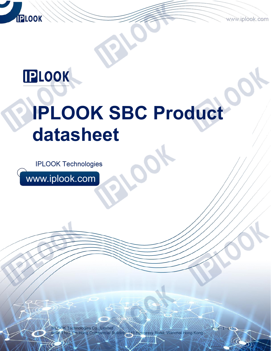www.iplook.com

 $ge - 1 - of 5$ 

# **IPLOOK**

**IPLOOK** 

# **IPLOOK SBC Product datasheet**

**IPLOOK Technologies** 

www.iplook.com

IPLOOK Technologies Co., Limited On Hong Commercial Building, 145 Hennessy Road, Wanchai Hong Kong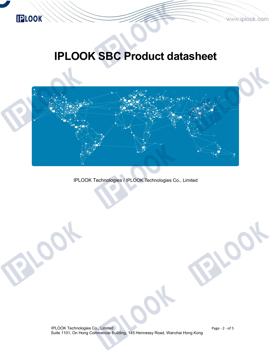

## **IPLOOK**

# **IPLOOK SBC Product datasheet**



IPLOOK Technologies / IPLOOK Technologies Co., Limited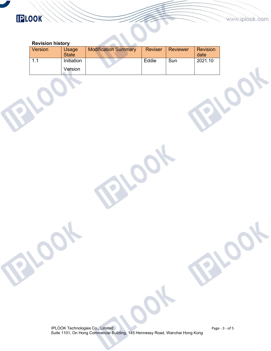### **IPLOOK**

 $\mathcal{L}$ 

#### **Revision history**

| Version | Usage<br><b>State</b> | <b>Modification Summary</b> | <b>Reviser</b> | Reviewer | <b>Revision</b><br>date |
|---------|-----------------------|-----------------------------|----------------|----------|-------------------------|
|         | Initiation            |                             | Eddie          | Sun      | 2021.10                 |
|         | Version               |                             |                |          |                         |

IPLOOK Technologies Co., Limited Suite 1101, On Hong Commercial Building, 145 Hennessy Road, Wanchai Hong Kong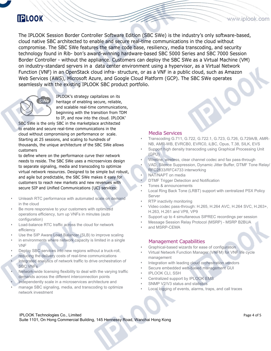### **IPLOOK**

The IPLOOK Session Border Controller Software Edition (SBC SWe) is the industry's only software-based, cloud native SBC architected to enable and secure real-time communications in the cloud without compromise. The SBC SWe features the same code base, resiliency, media transcoding, and security technology found in Rib- bon's award-winning hardware-based SBC 5000 Series and SBC 7000 Session Border Controller - without the appliance. Customers can deploy the SBC SWe as a Virtual Machine (VM) on industry-standard servers in a data center environment using a hypervisor, as a Virtual Network Function (VNF) in an OpenStack cloud infra-structure, or as a VNF in a public cloud, such as Amazon Web Services (AWS), Microsoft Azure, and Google Cloud Platform (GCP). The SBC SWe operates seamlessly with the existing IPLOOK SBC product portfolio.



IPLOOK's strategy capitalizes on its heritage of enabling secure, reliable, and scalable real-time communications, beginning with the transition from TDM to IP, and now into the cloud. IPLOOK'

SBC SWe is the only SBC in the marketplace architected to enable and secure real-time communications in the cloud without compromising on performance or scale.<br>Starting at 25 sessions, and scaling to hundreds of thousands, the unique architecture of the SBC SWe allows customers

to define where on the performance curve their network needs to reside. The SBC SWe uses a microservices design to separate signaling, media and transcoding to optimize virtual network resources. Designed to be simple but robust, and agile but predictable, the SBC SWe makes it easy for customers to reach new markets and new revenues with secure SIP and Unified Communications (UC) services:

- Unleash RTC performance with automated scale on demand in the cloud
- Be more responsive to your customers with optimized operations efficiency, turn up VNFs in minutes (auto configuration)
- Load-balance RTC traffic across the cloud for network efficiency
- Use the SIP Aware Load Balancer (SLB) to improve scaling
- in environments where network capacity is limited in a single VNF
- Deploy SBC services into new regions without a truck-roll,
- reducing the delivery costs of real-time communications
- Integrated analytics of network traffic to drive orchestration of SBC VNFs
- Network-wide licensing flexibility to deal with the varying traffic demands across the different interconnection points
- Independently scale in a microservices architecture and
- manage SBC signaling, media, and transcoding to optimize network investment

#### Media Services

- Transcoding G.711, G.722, G.722.1, G.723, G.726, G.729A/B, AMR- NB, AMR-WB, EVRCB0, EVRC0, iLBC, Opus, T.38, SILK, EVS
- Support high density transcoding using Graphical Processing Unit (GPU)
- Wireline, wireless, clear channel codec and fax pass-through
- VAD, Silence Suppression, Dynamic Jitter Buffer, DTMF Tone Relay/ RFC2833/RFC4733 interworking
- NAT/NAPT on media
- DTMF Trigger Detection and Notification
- Tones & announcements
- Local Ring Back Tone (LRBT) support with centralized PSX Policy Server
- RTP inactivity monitoring
- Video codec pass-through: H.265, H.264 AVC, H.264 SVC, H.263+, H.263, H.261 and VP8, VP9
- Support up to 4 simultaneous SIPREC recordings per session
- Message Session Relay Protocol (MSRP) MSRP B2BUA
- and MSRP-CEMA

#### Management Capabilities

- Graphical-based wizards for ease of configuration
- Virtual Network Function Manager(VNFM) for VNF life cycle management
- Integration with leading cloud orchestration vendors
- Secure embedded web-based management GUI
- **IPLOOK CLI, SSH**
- Centralized support by IPLOOK EMS
- SNMP V2/V3 status and statistics
- Local logging of events, alarms, traps, and call traces

IPLOOK Technologies Co., Limited Suite 1101, On Hong Commercial Building, 145 Hennessy Road, Wanchai Hong Kong www.iplook.com